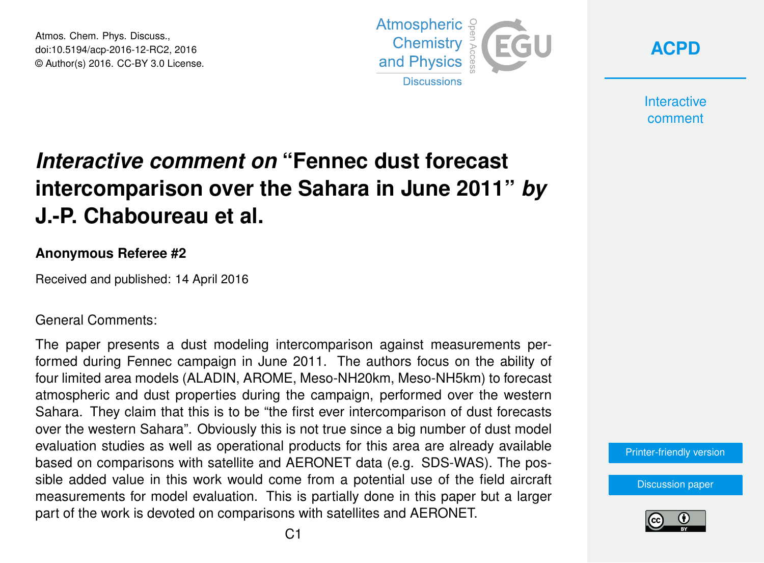Atmos. Chem. Phys. Discuss., doi:10.5194/acp-2016-12-RC2, 2016 © Author(s) 2016. CC-BY 3.0 License.



**[ACPD](http://www.atmos-chem-phys-discuss.net/)**

**Interactive** comment

## *Interactive comment on* **"Fennec dust forecast intercomparison over the Sahara in June 2011"** *by* **J.-P. Chaboureau et al.**

## **Anonymous Referee #2**

Received and published: 14 April 2016

General Comments:

The paper presents a dust modeling intercomparison against measurements performed during Fennec campaign in June 2011. The authors focus on the ability of four limited area models (ALADIN, AROME, Meso-NH20km, Meso-NH5km) to forecast atmospheric and dust properties during the campaign, performed over the western Sahara. They claim that this is to be "the first ever intercomparison of dust forecasts over the western Sahara". Obviously this is not true since a big number of dust model evaluation studies as well as operational products for this area are already available based on comparisons with satellite and AERONET data (e.g. SDS-WAS). The possible added value in this work would come from a potential use of the field aircraft measurements for model evaluation. This is partially done in this paper but a larger part of the work is devoted on comparisons with satellites and AERONET.

[Printer-friendly version](http://www.atmos-chem-phys-discuss.net/acp-2016-12/acp-2016-12-RC2-print.pdf)

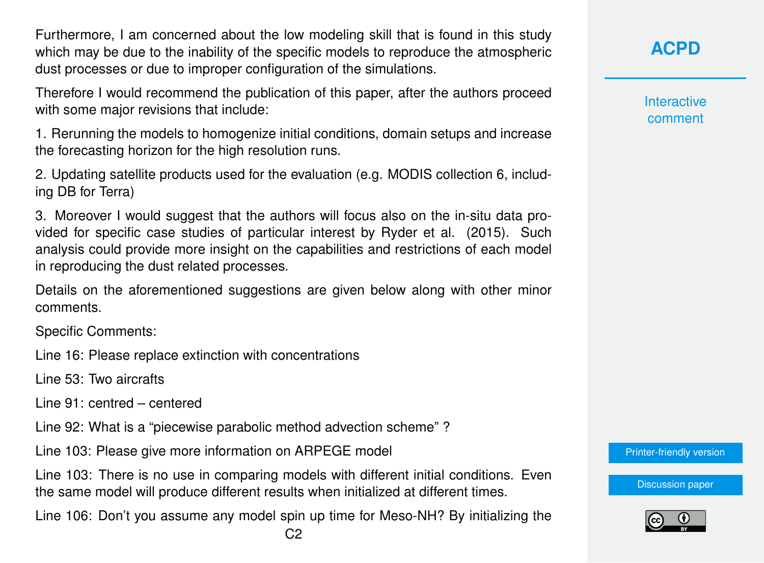Furthermore, I am concerned about the low modeling skill that is found in this study which may be due to the inability of the specific models to reproduce the atmospheric dust processes or due to improper configuration of the simulations.

Therefore I would recommend the publication of this paper, after the authors proceed with some major revisions that include:

1. Rerunning the models to homogenize initial conditions, domain setups and increase the forecasting horizon for the high resolution runs.

2. Updating satellite products used for the evaluation (e.g. MODIS collection 6, including DB for Terra)

3. Moreover I would suggest that the authors will focus also on the in-situ data provided for specific case studies of particular interest by Ryder et al. (2015). Such analysis could provide more insight on the capabilities and restrictions of each model in reproducing the dust related processes.

Details on the aforementioned suggestions are given below along with other minor comments.

Specific Comments:

Line 16: Please replace extinction with concentrations

Line 53: Two aircrafts

Line 91: centred – centered

Line 92: What is a "piecewise parabolic method advection scheme" ?

Line 103: Please give more information on ARPEGE model

Line 103: There is no use in comparing models with different initial conditions. Even the same model will produce different results when initialized at different times.

Line 106: Don't you assume any model spin up time for Meso-NH? By initializing the

**[ACPD](http://www.atmos-chem-phys-discuss.net/)**

**Interactive** comment

[Printer-friendly version](http://www.atmos-chem-phys-discuss.net/acp-2016-12/acp-2016-12-RC2-print.pdf)

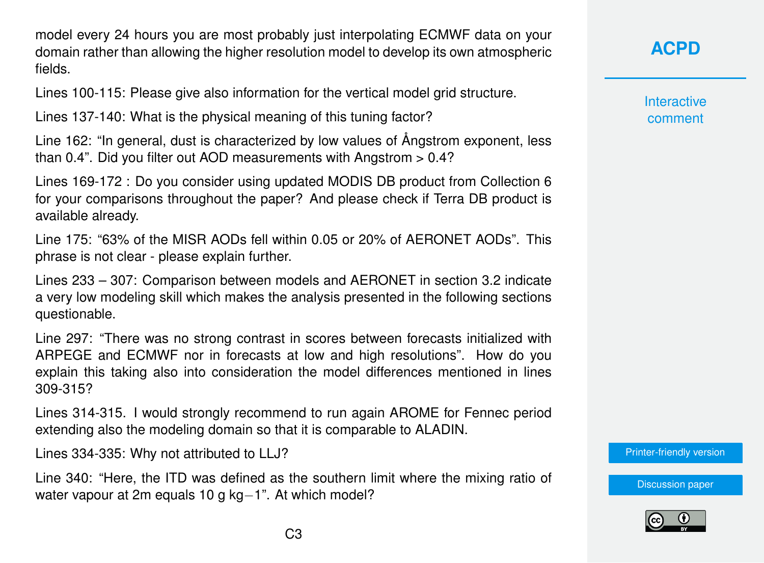model every 24 hours you are most probably just interpolating ECMWF data on your domain rather than allowing the higher resolution model to develop its own atmospheric fields.

Lines 100-115: Please give also information for the vertical model grid structure.

Lines 137-140: What is the physical meaning of this tuning factor?

Line 162: "In general, dust is characterized by low values of Ångstrom exponent, less than  $0.4$ ". Did you filter out AOD measurements with Angstrom  $> 0.4$ ?

Lines 169-172 : Do you consider using updated MODIS DB product from Collection 6 for your comparisons throughout the paper? And please check if Terra DB product is available already.

Line 175: "63% of the MISR AODs fell within 0.05 or 20% of AERONET AODs". This phrase is not clear - please explain further.

Lines 233 – 307: Comparison between models and AERONET in section 3.2 indicate a very low modeling skill which makes the analysis presented in the following sections questionable.

Line 297: "There was no strong contrast in scores between forecasts initialized with ARPEGE and ECMWF nor in forecasts at low and high resolutions". How do you explain this taking also into consideration the model differences mentioned in lines 309-315?

Lines 314-315. I would strongly recommend to run again AROME for Fennec period extending also the modeling domain so that it is comparable to ALADIN.

Lines 334-335: Why not attributed to LLJ?

Line 340: "Here, the ITD was defined as the southern limit where the mixing ratio of water vapour at 2m equals 10 g kg−1". At which model?

**[ACPD](http://www.atmos-chem-phys-discuss.net/)**

**Interactive** comment

[Printer-friendly version](http://www.atmos-chem-phys-discuss.net/acp-2016-12/acp-2016-12-RC2-print.pdf)